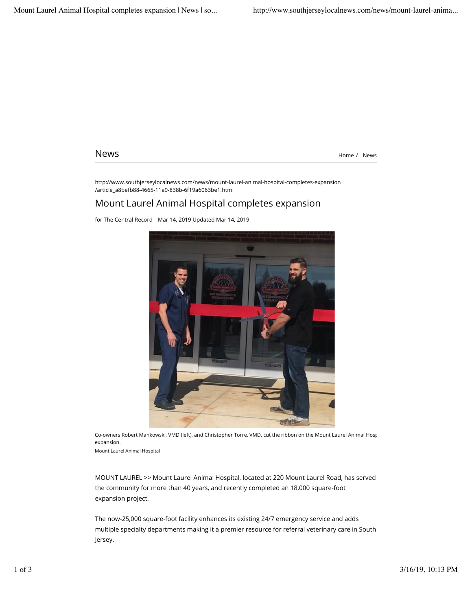News News **News**  $\frac{1}{2}$   $\frac{1}{2}$   $\frac{1}{2}$   $\frac{1}{2}$   $\frac{1}{2}$   $\frac{1}{2}$   $\frac{1}{2}$   $\frac{1}{2}$   $\frac{1}{2}$   $\frac{1}{2}$   $\frac{1}{2}$   $\frac{1}{2}$   $\frac{1}{2}$   $\frac{1}{2}$   $\frac{1}{2}$   $\frac{1}{2}$   $\frac{1}{2}$   $\frac{1}{2}$   $\frac{1}{2}$   $\frac{1}{2}$   $\frac{1$ 

http://www.southjerseylocalnews.com/news/mount-laurel-animal-hospital-completes-expansion /article\_a8befb88-4665-11e9-838b-6f19a6063be1.html

## Mount Laurel Animal Hospital completes expansion

for The Central Record Mar 14, 2019 Updated Mar 14, 2019



Co-owners Robert Mankowski, VMD (left), and Christopher Torre, VMD, cut the ribbon on the Mount Laurel Animal Hospital expansion.

Mount Laurel Animal Hospital

MOUNT LAUREL >> Mount Laurel Animal Hospital, located at 220 Mount Laurel Road, has served the community for more than 40 years, and recently completed an 18,000 square-foot expansion project.

The now-25,000 square-foot facility enhances its existing 24/7 emergency service and adds multiple specialty departments making it a premier resource for referral veterinary care in South Jersey.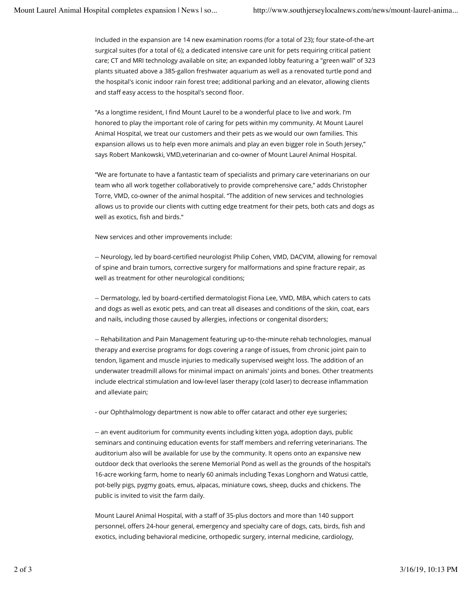Included in the expansion are 14 new examination rooms (for a total of 23); four state-of-the-art surgical suites (for a total of 6); a dedicated intensive care unit for pets requiring critical patient care; CT and MRI technology available on site; an expanded lobby featuring a "green wall" of 323 plants situated above a 385-gallon freshwater aquarium as well as a renovated turtle pond and the hospital's iconic indoor rain forest tree; additional parking and an elevator, allowing clients and staff easy access to the hospital's second floor.

"As a longtime resident, I find Mount Laurel to be a wonderful place to live and work. I'm honored to play the important role of caring for pets within my community. At Mount Laurel Animal Hospital, we treat our customers and their pets as we would our own families. This expansion allows us to help even more animals and play an even bigger role in South Jersey," says Robert Mankowski, VMD,veterinarian and co-owner of Mount Laurel Animal Hospital.

"We are fortunate to have a fantastic team of specialists and primary care veterinarians on our team who all work together collaboratively to provide comprehensive care," adds Christopher Torre, VMD, co-owner of the animal hospital. "The addition of new services and technologies allows us to provide our clients with cutting edge treatment for their pets, both cats and dogs as well as exotics, fish and birds."

New services and other improvements include:

-- Neurology, led by board-certified neurologist Philip Cohen, VMD, DACVIM, allowing for removal of spine and brain tumors, corrective surgery for malformations and spine fracture repair, as well as treatment for other neurological conditions;

-- Dermatology, led by board-certified dermatologist Fiona Lee, VMD, MBA, which caters to cats and dogs as well as exotic pets, and can treat all diseases and conditions of the skin, coat, ears and nails, including those caused by allergies, infections or congenital disorders;

-- Rehabilitation and Pain Management featuring up-to-the-minute rehab technologies, manual therapy and exercise programs for dogs covering a range of issues, from chronic joint pain to tendon, ligament and muscle injuries to medically supervised weight loss. The addition of an underwater treadmill allows for minimal impact on animals' joints and bones. Other treatments include electrical stimulation and low-level laser therapy (cold laser) to decrease inflammation and alleviate pain;

- our Ophthalmology department is now able to offer cataract and other eye surgeries;

-- an event auditorium for community events including kitten yoga, adoption days, public seminars and continuing education events for staff members and referring veterinarians. The auditorium also will be available for use by the community. It opens onto an expansive new outdoor deck that overlooks the serene Memorial Pond as well as the grounds of the hospital's 16-acre working farm, home to nearly 60 animals including Texas Longhorn and Watusi cattle, pot-belly pigs, pygmy goats, emus, alpacas, miniature cows, sheep, ducks and chickens. The public is invited to visit the farm daily.

Mount Laurel Animal Hospital, with a staff of 35-plus doctors and more than 140 support personnel, offers 24-hour general, emergency and specialty care of dogs, cats, birds, fish and exotics, including behavioral medicine, orthopedic surgery, internal medicine, cardiology,